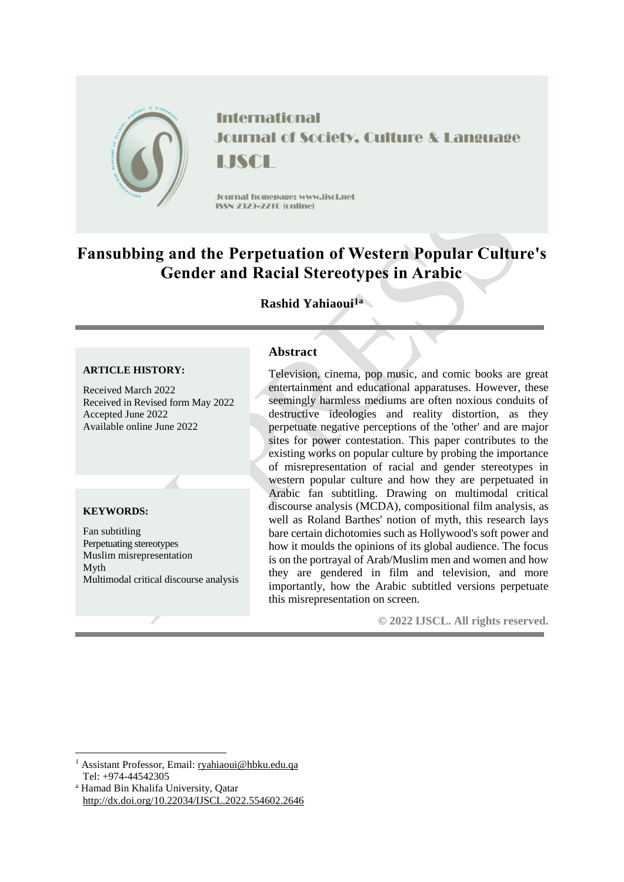

**International Journal of Society, Culture & Language** LISCH

Journal homepage: www.jiscl.net ISSN 2329-2210 (cnline)

# **Fansubbing and the Perpetuation of Western Popular Culture's Gender and Racial Stereotypes in Arabic**

**Rashid Yahiaoui1<sup>a</sup>**

#### **ARTICLE HISTORY:**

Received March 2022 Received in Revised form May 2022 Accepted June 2022 Available online June 2022

### **KEYWORDS:**

**.** 

Fan subtitling Perpetuating stereotypes Muslim misrepresentation Myth Multimodal critical discourse analysis

# **Abstract**

Television, cinema, pop music, and comic books are great entertainment and educational apparatuses. However, these seemingly harmless mediums are often noxious conduits of destructive ideologies and reality distortion, as they perpetuate negative perceptions of the 'other' and are major sites for power contestation. This paper contributes to the existing works on popular culture by probing the importance of misrepresentation of racial and gender stereotypes in western popular culture and how they are perpetuated in Arabic fan subtitling. Drawing on multimodal critical discourse analysis (MCDA), compositional film analysis, as well as Roland Barthes' notion of myth, this research lays bare certain dichotomies such as Hollywood's soft power and how it moulds the opinions of its global audience. The focus is on the portrayal of Arab/Muslim men and women and how they are gendered in film and television, and more importantly, how the Arabic subtitled versions perpetuate this misrepresentation on screen.

**© 2022 IJSCL. All rights reserved.**

<sup>1</sup> Assistant Professor, Email: [ryahiaoui@hbku.edu.qa](mailto:ryahiaoui@hbku.edu.qa) Tel: +974-44542305

<sup>a</sup> Hamad Bin Khalifa University, Qatar http://dx.doi.org/10.22034/IJSCL.2022.554602.2646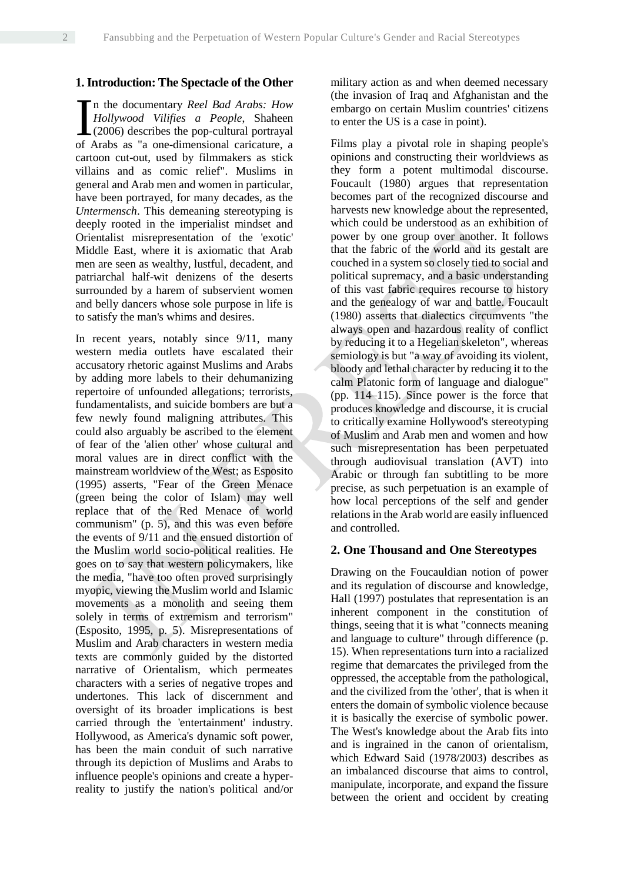#### **1. Introduction: The Spectacle of the Other**

n the documentary *Reel Bad Arabs: How Hollywood Vilifies a People*, Shaheen (2006) describes the pop-cultural portrayal In the documentary *Reel Bad Arabs: How Hollywood Vilifies a People*, Shaheen (2006) describes the pop-cultural portrayal of Arabs as "a one-dimensional caricature, a cartoon cut-out, used by filmmakers as stick villains and as comic relief". Muslims in general and Arab men and women in particular, have been portrayed, for many decades, as the *Untermensch*. This demeaning stereotyping is deeply rooted in the imperialist mindset and Orientalist misrepresentation of the 'exotic' Middle East, where it is axiomatic that Arab men are seen as wealthy, lustful, decadent, and patriarchal half-wit denizens of the deserts surrounded by a harem of subservient women and belly dancers whose sole purpose in life is to satisfy the man's whims and desires.

In recent years, notably since 9/11, many western media outlets have escalated their accusatory rhetoric against Muslims and Arabs by adding more labels to their dehumanizing repertoire of unfounded allegations; terrorists, fundamentalists, and suicide bombers are but a few newly found maligning attributes. This could also arguably be ascribed to the element of fear of the 'alien other' whose cultural and moral values are in direct conflict with the mainstream worldview of the West; as Esposito (1995) asserts, "Fear of the Green Menace (green being the color of Islam) may well replace that of the Red Menace of world communism" (p. 5), and this was even before the events of 9/11 and the ensued distortion of the Muslim world socio-political realities. He goes on to say that western policymakers, like the media, "have too often proved surprisingly myopic, viewing the Muslim world and Islamic movements as a monolith and seeing them solely in terms of extremism and terrorism" (Esposito, 1995, p. 5). Misrepresentations of Muslim and Arab characters in western media texts are commonly guided by the distorted narrative of Orientalism, which permeates characters with a series of negative tropes and undertones. This lack of discernment and oversight of its broader implications is best carried through the 'entertainment' industry. Hollywood, as America's dynamic soft power, has been the main conduit of such narrative through its depiction of Muslims and Arabs to influence people's opinions and create a hyperreality to justify the nation's political and/or military action as and when deemed necessary (the invasion of Iraq and Afghanistan and the embargo on certain Muslim countries' citizens to enter the US is a case in point).

Films play a pivotal role in shaping people's opinions and constructing their worldviews as they form a potent multimodal discourse. Foucault (1980) argues that representation becomes part of the recognized discourse and harvests new knowledge about the represented, which could be understood as an exhibition of power by one group over another. It follows that the fabric of the world and its gestalt are couched in a system so closely tied to social and political supremacy, and a basic understanding of this vast fabric requires recourse to history and the genealogy of war and battle. Foucault (1980) asserts that dialectics circumvents "the always open and hazardous reality of conflict by reducing it to a Hegelian skeleton", whereas semiology is but "a way of avoiding its violent, bloody and lethal character by reducing it to the calm Platonic form of language and dialogue" (pp. 114–115). Since power is the force that produces knowledge and discourse, it is crucial to critically examine Hollywood's stereotyping of Muslim and Arab men and women and how such misrepresentation has been perpetuated through audiovisual translation (AVT) into Arabic or through fan subtitling to be more precise, as such perpetuation is an example of how local perceptions of the self and gender relations in the Arab world are easily influenced and controlled.

### **2. One Thousand and One Stereotypes**

Drawing on the Foucauldian notion of power and its regulation of discourse and knowledge, Hall (1997) postulates that representation is an inherent component in the constitution of things, seeing that it is what "connects meaning and language to culture" through difference (p. 15). When representations turn into a racialized regime that demarcates the privileged from the oppressed, the acceptable from the pathological, and the civilized from the 'other', that is when it enters the domain of symbolic violence because it is basically the exercise of symbolic power. The West's knowledge about the Arab fits into and is ingrained in the canon of orientalism, which Edward Said (1978/2003) describes as an imbalanced discourse that aims to control, manipulate, incorporate, and expand the fissure between the orient and occident by creating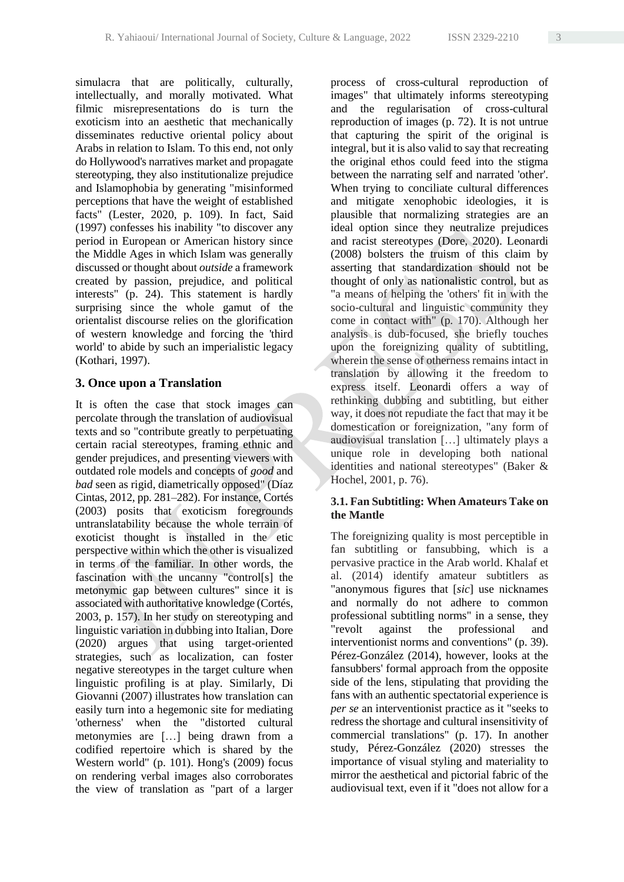simulacra that are politically, culturally, intellectually, and morally motivated. What filmic misrepresentations do is turn the exoticism into an aesthetic that mechanically disseminates reductive oriental policy about Arabs in relation to Islam. To this end, not only do Hollywood's narratives market and propagate stereotyping, they also institutionalize prejudice and Islamophobia by generating "misinformed perceptions that have the weight of established facts" (Lester, 2020, p. 109). In fact, Said (1997) confesses his inability "to discover any period in European or American history since the Middle Ages in which Islam was generally discussed or thought about *outside* a framework created by passion, prejudice, and political interests" (p. 24). This statement is hardly surprising since the whole gamut of the orientalist discourse relies on the glorification of western knowledge and forcing the 'third world' to abide by such an imperialistic legacy (Kothari, 1997).

# **3. Once upon a Translation**

It is often the case that stock images can percolate through the translation of audiovisual texts and so "contribute greatly to perpetuating certain racial stereotypes, framing ethnic and gender prejudices, and presenting viewers with outdated role models and concepts of *good* and *bad* seen as rigid, diametrically opposed" (Díaz Cintas, 2012, pp. 281–282). For instance, Cortés (2003) posits that exoticism foregrounds untranslatability because the whole terrain of exoticist thought is installed in the etic perspective within which the other is visualized in terms of the familiar. In other words, the fascination with the uncanny "control[s] the metonymic gap between cultures" since it is associated with authoritative knowledge (Cortés, 2003, p. 157). In her study on stereotyping and linguistic variation in dubbing into Italian, Dore (2020) argues that using target-oriented strategies, such as localization, can foster negative stereotypes in the target culture when linguistic profiling is at play. Similarly, Di Giovanni (2007) illustrates how translation can easily turn into a hegemonic site for mediating 'otherness' when the "distorted cultural metonymies are […] being drawn from a codified repertoire which is shared by the Western world" (p. 101). Hong's (2009) focus on rendering verbal images also corroborates the view of translation as "part of a larger

process of cross-cultural reproduction of images" that ultimately informs stereotyping and the regularisation of cross-cultural reproduction of images (p. 72). It is not untrue that capturing the spirit of the original is integral, but it is also valid to say that recreating the original ethos could feed into the stigma between the narrating self and narrated 'other'. When trying to conciliate cultural differences and mitigate xenophobic ideologies, it is plausible that normalizing strategies are an ideal option since they neutralize prejudices and racist stereotypes (Dore, 2020). Leonardi (2008) bolsters the truism of this claim by asserting that standardization should not be thought of only as nationalistic control, but as "a means of helping the 'others' fit in with the socio-cultural and linguistic community they come in contact with" (p. 170). Although her analysis is dub-focused, she briefly touches upon the foreignizing quality of subtitling, wherein the sense of otherness remains intact in translation by allowing it the freedom to express itself. Leonardi offers a way of rethinking dubbing and subtitling, but either way, it does not repudiate the fact that may it be domestication or foreignization, "any form of audiovisual translation […] ultimately plays a unique role in developing both national identities and national stereotypes" (Baker & Hochel, 2001, p. 76).

### **3.1. Fan Subtitling: When Amateurs Take on the Mantle**

The foreignizing quality is most perceptible in fan subtitling or fansubbing, which is a pervasive practice in the Arab world. Khalaf et al. (2014) identify amateur subtitlers as "anonymous figures that [*sic*] use nicknames and normally do not adhere to common professional subtitling norms" in a sense, they "revolt against the professional and interventionist norms and conventions" (p. 39). Pérez-González (2014), however, looks at the fansubbers' formal approach from the opposite side of the lens, stipulating that providing the fans with an authentic spectatorial experience is *per se* an interventionist practice as it "seeks to redress the shortage and cultural insensitivity of commercial translations" (p. 17). In another study, Pérez-González (2020) stresses the importance of visual styling and materiality to mirror the aesthetical and pictorial fabric of the audiovisual text, even if it "does not allow for a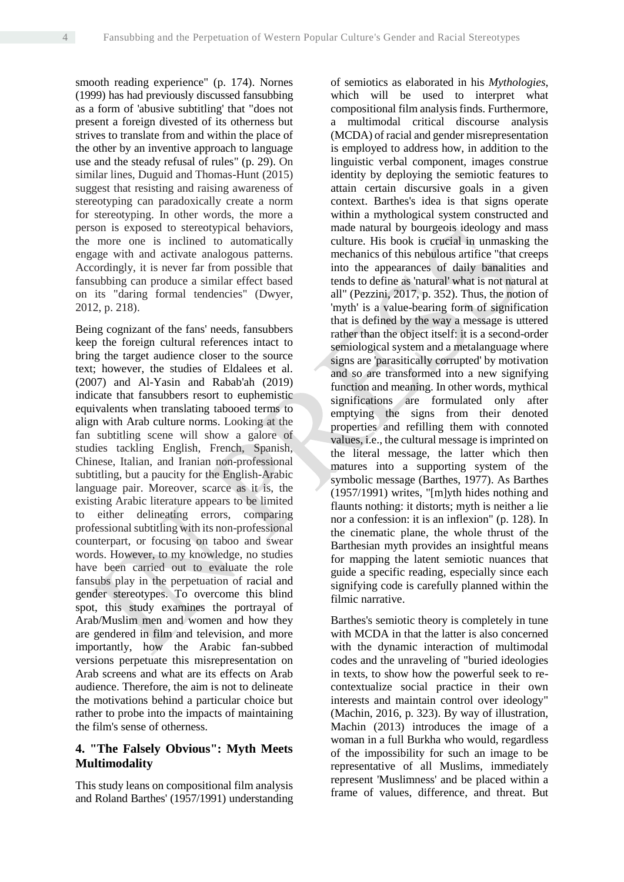smooth reading experience" (p. 174). Nornes (1999) has had previously discussed fansubbing as a form of 'abusive subtitling' that "does not present a foreign divested of its otherness but strives to translate from and within the place of the other by an inventive approach to language use and the steady refusal of rules" (p. 29). On similar lines, Duguid and Thomas-Hunt (2015) suggest that resisting and raising awareness of stereotyping can paradoxically create a norm for stereotyping. In other words, the more a person is exposed to stereotypical behaviors, the more one is inclined to automatically engage with and activate analogous patterns. Accordingly, it is never far from possible that fansubbing can produce a similar effect based on its "daring formal tendencies" (Dwyer, 2012, p. 218).

Being cognizant of the fans' needs, fansubbers keep the foreign cultural references intact to bring the target audience closer to the source text; however, the studies of Eldalees et al. (2007) and Al-Yasin and Rabab'ah (2019) indicate that fansubbers resort to euphemistic equivalents when translating tabooed terms to align with Arab culture norms. Looking at the fan subtitling scene will show a galore of studies tackling English, French, Spanish, Chinese, Italian, and Iranian non-professional subtitling, but a paucity for the English-Arabic language pair. Moreover, scarce as it is, the existing Arabic literature appears to be limited to either delineating errors, comparing professional subtitling with its non-professional counterpart, or focusing on taboo and swear words. However, to my knowledge, no studies have been carried out to evaluate the role fansubs play in the perpetuation of racial and gender stereotypes. To overcome this blind spot, this study examines the portrayal of Arab/Muslim men and women and how they are gendered in film and television, and more importantly, how the Arabic fan-subbed versions perpetuate this misrepresentation on Arab screens and what are its effects on Arab audience. Therefore, the aim is not to delineate the motivations behind a particular choice but rather to probe into the impacts of maintaining the film's sense of otherness.

# **4. "The Falsely Obvious": Myth Meets Multimodality**

This study leans on compositional film analysis and Roland Barthes' (1957/1991) understanding

of semiotics as elaborated in his *Mythologies*, which will be used to interpret what compositional film analysis finds. Furthermore, a multimodal critical discourse analysis (MCDA) of racial and gender misrepresentation is employed to address how, in addition to the linguistic verbal component, images construe identity by deploying the semiotic features to attain certain discursive goals in a given context. Barthes's idea is that signs operate within a mythological system constructed and made natural by bourgeois ideology and mass culture. His book is crucial in unmasking the mechanics of this nebulous artifice "that creeps into the appearances of daily banalities and tends to define as 'natural' what is not natural at all" (Pezzini, 2017, p. 352). Thus, the notion of 'myth' is a value-bearing form of signification that is defined by the way a message is uttered rather than the object itself: it is a second-order semiological system and a metalanguage where signs are 'parasitically corrupted' by motivation and so are transformed into a new signifying function and meaning. In other words, mythical significations are formulated only after emptying the signs from their denoted properties and refilling them with connoted values, i.e., the cultural message is imprinted on the literal message, the latter which then matures into a supporting system of the symbolic message (Barthes, 1977). As Barthes (1957/1991) writes, "[m]yth hides nothing and flaunts nothing: it distorts; myth is neither a lie nor a confession: it is an inflexion" (p. 128). In the cinematic plane, the whole thrust of the Barthesian myth provides an insightful means for mapping the latent semiotic nuances that guide a specific reading, especially since each signifying code is carefully planned within the filmic narrative.

Barthes's semiotic theory is completely in tune with MCDA in that the latter is also concerned with the dynamic interaction of multimodal codes and the unraveling of "buried ideologies in texts, to show how the powerful seek to recontextualize social practice in their own interests and maintain control over ideology" (Machin, 2016, p. 323). By way of illustration, Machin (2013) introduces the image of a woman in a full Burkha who would, regardless of the impossibility for such an image to be representative of all Muslims, immediately represent 'Muslimness' and be placed within a frame of values, difference, and threat. But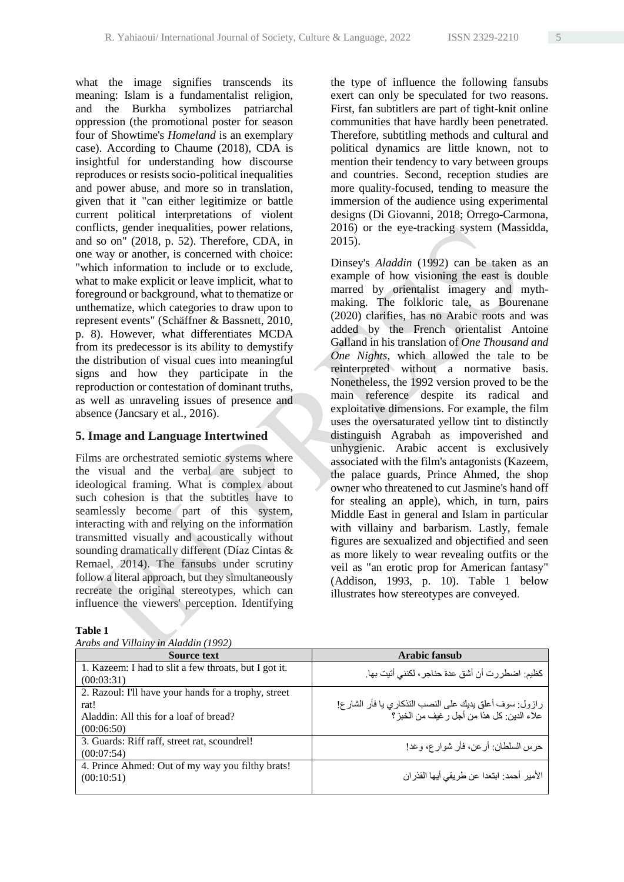what the image signifies transcends its meaning: Islam is a fundamentalist religion, and the Burkha symbolizes patriarchal oppression (the promotional poster for season four of Showtime's *Homeland* is an exemplary case). According to Chaume (2018), CDA is insightful for understanding how discourse reproduces or resists socio-political inequalities and power abuse, and more so in translation, given that it "can either legitimize or battle current political interpretations of violent conflicts, gender inequalities, power relations, and so on" (2018, p. 52). Therefore, CDA, in one way or another, is concerned with choice: "which information to include or to exclude, what to make explicit or leave implicit, what to foreground or background, what to thematize or unthematize, which categories to draw upon to represent events" (Schäffner & Bassnett, 2010, p. 8). However, what differentiates MCDA from its predecessor is its ability to demystify the distribution of visual cues into meaningful signs and how they participate in the reproduction or contestation of dominant truths, as well as unraveling issues of presence and absence (Jancsary et al., 2016).

# **5. Image and Language Intertwined**

Films are orchestrated semiotic systems where the visual and the verbal are subject to ideological framing. What is complex about such cohesion is that the subtitles have to seamlessly become part of this system, interacting with and relying on the information transmitted visually and acoustically without sounding dramatically different (Díaz Cintas & Remael, 2014). The fansubs under scrutiny follow a literal approach, but they simultaneously recreate the original stereotypes, which can influence the viewers' perception. Identifying

the type of influence the following fansubs exert can only be speculated for two reasons. First, fan subtitlers are part of tight-knit online communities that have hardly been penetrated. Therefore, subtitling methods and cultural and political dynamics are little known, not to mention their tendency to vary between groups and countries. Second, reception studies are more quality-focused, tending to measure the immersion of the audience using experimental designs (Di Giovanni, 2018; Orrego-Carmona, 2016) or the eye-tracking system (Massidda, 2015).

Dinsey's *Aladdin* (1992) can be taken as an example of how visioning the east is double marred by orientalist imagery and mythmaking. The folkloric tale, as Bourenane (2020) clarifies, has no Arabic roots and was added by the French orientalist Antoine Galland in his translation of *One Thousand and One Nights*, which allowed the tale to be reinterpreted without a normative basis. Nonetheless, the 1992 version proved to be the main reference despite its radical and exploitative dimensions. For example, the film uses the oversaturated yellow tint to distinctly distinguish Agrabah as impoverished and unhygienic. Arabic accent is exclusively associated with the film's antagonists (Kazeem, the palace guards, Prince Ahmed, the shop owner who threatened to cut Jasmine's hand off for stealing an apple), which, in turn, pairs Middle East in general and Islam in particular with villainy and barbarism. Lastly, female figures are sexualized and objectified and seen as more likely to wear revealing outfits or the veil as "an erotic prop for American fantasy" (Addison, 1993, p. 10). Table 1 below illustrates how stereotypes are conveyed.

| <b>Source text</b>                                    | <b>Arabic fansub</b>                                                                                  |
|-------------------------------------------------------|-------------------------------------------------------------------------------------------------------|
| 1. Kazeem: I had to slit a few throats, but I got it. | كظيم: اضطررت أن أشق عدة حناجر ، لكنني أتيت بها.                                                       |
| (00:03:31)                                            |                                                                                                       |
| 2. Razoul: I'll have your hands for a trophy, street  |                                                                                                       |
| rat!                                                  | رازول: سوف أعلق يديك على النصب التذكاري يا فأر الشار ع!<br>علاء الدين: كل هذا من أجل ر غيف من الخبز ؟ |
| Aladdin: All this for a loaf of bread?                |                                                                                                       |
| (00:06:50)                                            |                                                                                                       |
| 3. Guards: Riff raff, street rat, scoundrel!          | حرس السلطان: أرعن، فأر شوارع، وغد!                                                                    |
| (00:07:54)                                            |                                                                                                       |
| 4. Prince Ahmed: Out of my way you filthy brats!      |                                                                                                       |
| (00:10:51)                                            | الأمير أحمد: ابتعدا عن طريقي أيها القذران                                                             |
|                                                       |                                                                                                       |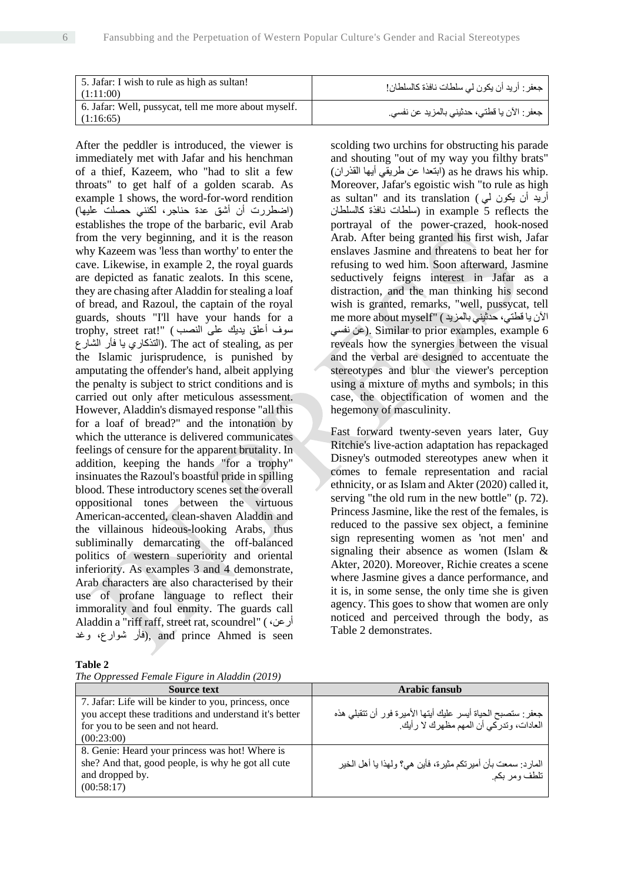| 5. Jafar: I wish to rule as high as sultan!<br>(1:11:00)          | جعفر : أريد أن يكون لي سلطات نافذة كالسلطان! |
|-------------------------------------------------------------------|----------------------------------------------|
| 6. Jafar: Well, pussycat, tell me more about myself.<br>(1:16:65) | جعفر : الآن يا قطتي، حدثيني بالمزيد عن نفسي. |

After the peddler is introduced, the viewer is immediately met with Jafar and his henchman of a thief, Kazeem, who "had to slit a few throats" to get half of a golden scarab. As example 1 shows, the word-for-word rendition (اضطررت أن أشق عدة حناجر، لكنني حصلت عليها) establishes the trope of the barbaric, evil Arab from the very beginning, and it is the reason why Kazeem was 'less than worthy' to enter the cave. Likewise, in example 2, the royal guards are depicted as fanatic zealots. In this scene, they are chasing after Aladdin for stealing a loaf of bread, and Razoul, the captain of the royal guards, shouts "I'll have your hands for a mu النصب ) "!trophy, street rat التذكاري يا فأر الشارع). The act of stealing, as per the Islamic jurisprudence, is punished by amputating the offender's hand, albeit applying the penalty is subject to strict conditions and is carried out only after meticulous assessment. However, Aladdin's dismayed response "all this for a loaf of bread?" and the intonation by which the utterance is delivered communicates feelings of censure for the apparent brutality. In addition, keeping the hands "for a trophy" insinuates the Razoul's boastful pride in spilling blood. These introductory scenes set the overall oppositional tones between the virtuous American-accented, clean-shaven Aladdin and the villainous hideous-looking Arabs, thus subliminally demarcating the off-balanced politics of western superiority and oriental inferiority. As examples 3 and 4 demonstrate, Arab characters are also characterised by their use of profane language to reflect their immorality and foul enmity. The guards call Aladdin a "riff raff, street rat, scoundrel" ( ،أرعن وغد ،شوارع فأر(, and prince Ahmed is seen

**Table 2**

| The Oppressed Female Figure in Aladdin (2019) |  |  |  |  |  |  |
|-----------------------------------------------|--|--|--|--|--|--|
|-----------------------------------------------|--|--|--|--|--|--|

scolding two urchins for obstructing his parade and shouting "out of my way you filthy brats" .whip his draws he as) ابتعدا عن طريقي أيها القذران) Moreover, Jafar's egoistic wish "to rule as high as sultan" and its translation ( أريد أن يكون لي كالسلطان نافذة سلطات (in example 5 reflects the portrayal of the power-crazed, hook-nosed Arab. After being granted his first wish, Jafar enslaves Jasmine and threatens to beat her for refusing to wed him. Soon afterward, Jasmine seductively feigns interest in Jafar as a distraction, and the man thinking his second wish is granted, remarks, "well, pussycat, tell اآلن يا قطتي، حدثيني بالمزيد ) "myself about more me نفسي عن(. Similar to prior examples, example 6 reveals how the synergies between the visual and the verbal are designed to accentuate the stereotypes and blur the viewer's perception using a mixture of myths and symbols; in this case, the objectification of women and the hegemony of masculinity.

Fast forward twenty-seven years later, Guy Ritchie's live-action adaptation has repackaged Disney's outmoded stereotypes anew when it comes to female representation and racial ethnicity, or as Islam and Akter (2020) called it, serving "the old rum in the new bottle" (p. 72). Princess Jasmine, like the rest of the females, is reduced to the passive sex object, a feminine sign representing women as 'not men' and signaling their absence as women (Islam & Akter, 2020). Moreover, Richie creates a scene where Jasmine gives a dance performance, and it is, in some sense, the only time she is given agency. This goes to show that women are only noticed and perceived through the body, as Table 2 demonstrates.

| The Oppressea Female Figure in Aladain (2019)                                                                                                                     |                                                                                                         |
|-------------------------------------------------------------------------------------------------------------------------------------------------------------------|---------------------------------------------------------------------------------------------------------|
| <b>Source text</b>                                                                                                                                                | <b>Arabic fansub</b>                                                                                    |
| 7. Jafar: Life will be kinder to you, princess, once<br>you accept these traditions and understand it's better<br>for you to be seen and not heard.<br>(00:23:00) | جعفر : ستصبح الحياة أيسر عليك أيتها الأميرة فور أن تتقبلي هذه<br>العادات، وتدركي أن المهم مظهرك لا رأيك |
| 8. Genie: Heard your princess was hot! Where is<br>she? And that, good people, is why he got all cute<br>and dropped by.<br>(00:58:17)                            | المارد: سمعت بأن أميرتكم مثيرة، فأين هي؟ ولهذا يا أهل الخير<br>تلطف ومر بكير                            |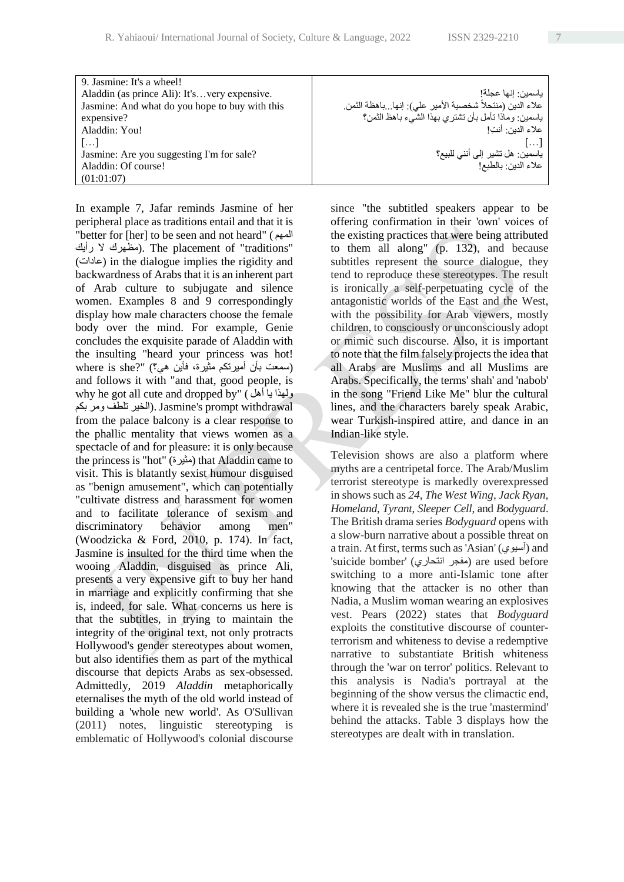| 9. Jasmine: It's a wheel!                      |                                                         |
|------------------------------------------------|---------------------------------------------------------|
| Aladdin (as prince Ali): It's very expensive.  | باسمبن انها عجلة!                                       |
| Jasmine: And what do you hope to buy with this | علاء الدين (منتحلاً شخصية الأمير على): إنهاباهظة الثمن. |
| expensive?                                     | ياسمين: وماذا نأمل بأن نشتري بهذا الشَّيء باهظ النَّمن؟ |
| Aladdin: You!                                  | علاء الدنن أنتI                                         |
|                                                | $\left[\ldots\right]$                                   |
| Jasmine: Are you suggesting I'm for sale?      | ياسمين: هل تشير إلى أنني للبيع؟                         |
| Aladdin: Of course!                            | علاء الدين بالطبع!                                      |
| (01:01:07)                                     |                                                         |

In example 7, Jafar reminds Jasmine of her peripheral place as traditions entail and that it is "better for [her] to be seen and not heard" ( المهم مظهرك لا رأيك). The placement of "traditions" (عادات (in the dialogue implies the rigidity and backwardness of Arabs that it is an inherent part of Arab culture to subjugate and silence women. Examples 8 and 9 correspondingly display how male characters choose the female body over the mind. For example, Genie concludes the exquisite parade of Aladdin with the insulting "heard your princess was hot! (سمعت بأن أميرتكم مثيرة، فأين هي؟) "?she is where and follows it with "and that, good people, is why he got all cute and dropped by" ( أهل يا ولهذا الخير تلطف ومر بكم). Jasmine's prompt withdrawal from the palace balcony is a clear response to the phallic mentality that views women as a spectacle of and for pleasure: it is only because the princess is "hot" (مثيرة) that Aladdin came to visit. This is blatantly sexist humour disguised as "benign amusement", which can potentially "cultivate distress and harassment for women and to facilitate tolerance of sexism and discriminatory behavior among men" (Woodzicka & Ford, 2010, p. 174). In fact, Jasmine is insulted for the third time when the wooing Aladdin, disguised as prince Ali, presents a very expensive gift to buy her hand in marriage and explicitly confirming that she is, indeed, for sale. What concerns us here is that the subtitles, in trying to maintain the integrity of the original text, not only protracts Hollywood's gender stereotypes about women, but also identifies them as part of the mythical discourse that depicts Arabs as sex-obsessed. Admittedly, 2019 *Aladdin* metaphorically eternalises the myth of the old world instead of building a 'whole new world'. As O'Sullivan (2011) notes, linguistic stereotyping is emblematic of Hollywood's colonial discourse

since "the subtitled speakers appear to be offering confirmation in their 'own' voices of the existing practices that were being attributed to them all along" (p. 132), and because subtitles represent the source dialogue, they tend to reproduce these stereotypes. The result is ironically a self-perpetuating cycle of the antagonistic worlds of the East and the West, with the possibility for Arab viewers, mostly children, to consciously or unconsciously adopt or mimic such discourse. Also, it is important to note that the film falsely projects the idea that all Arabs are Muslims and all Muslims are Arabs. Specifically, the terms' shah' and 'nabob' in the song "Friend Like Me" blur the cultural lines, and the characters barely speak Arabic, wear Turkish-inspired attire, and dance in an Indian-like style.

Television shows are also a platform where myths are a centripetal force. The Arab/Muslim terrorist stereotype is markedly overexpressed in shows such as *24*, *The West Wing*, *Jack Ryan*, *Homeland*, *Tyrant*, *Sleeper Cell*, and *Bodyguard*. The British drama series *Bodyguard* opens with a slow-burn narrative about a possible threat on a train. At first, terms such as 'Asian' (آسيوي) and 'suicide bomber' (مفجر انتحاري) are used before switching to a more anti-Islamic tone after knowing that the attacker is no other than Nadia, a Muslim woman wearing an explosives vest. Pears (2022) states that *Bodyguard* exploits the constitutive discourse of counterterrorism and whiteness to devise a redemptive narrative to substantiate British whiteness through the 'war on terror' politics. Relevant to this analysis is Nadia's portrayal at the beginning of the show versus the climactic end, where it is revealed she is the true 'mastermind' behind the attacks. Table 3 displays how the stereotypes are dealt with in translation.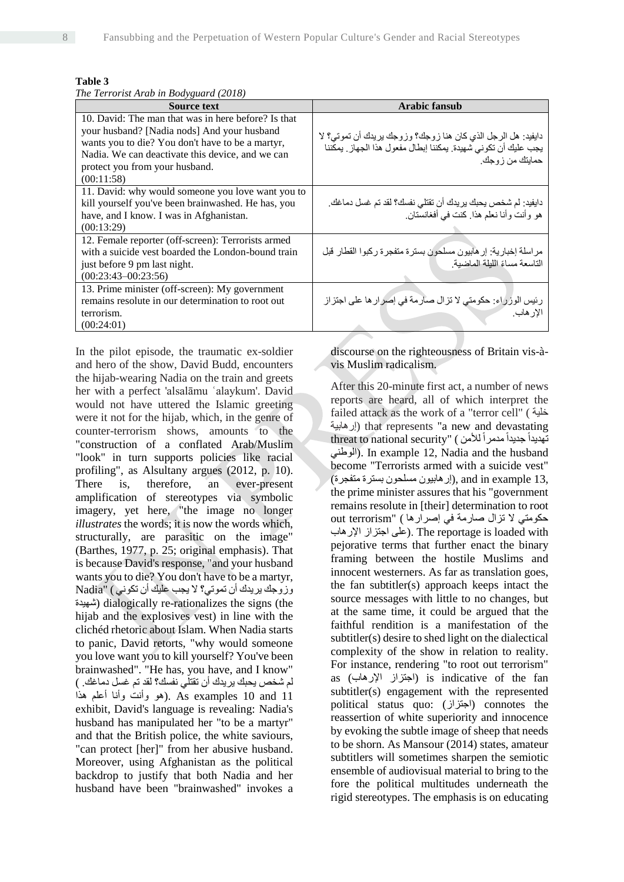#### **Table 3**

*The Terrorist Arab in Bodyguard (2018)*

| Source text                                                                                                                                                                                                                                                | Arabic fansub                                                                                                                                        |
|------------------------------------------------------------------------------------------------------------------------------------------------------------------------------------------------------------------------------------------------------------|------------------------------------------------------------------------------------------------------------------------------------------------------|
| 10. David: The man that was in here before? Is that<br>your husband? [Nadia nods] And your husband<br>wants you to die? You don't have to be a martyr,<br>Nadia. We can deactivate this device, and we can<br>protect you from your husband.<br>(00:11:58) | دايفيد: هل الرجل الذي كان هنا زوجك؟ وزوجك يريدك أن تموتي؟ لا<br>يجب عليك أن تكوني شهيدة. يمكننا إبطال مفعول هذا الجهاز . يمكّننا<br>حمابتك من ز و جك |
| 11. David: why would someone you love want you to<br>kill yourself you've been brainwashed. He has, you<br>have, and I know. I was in Afghanistan.<br>(00:13:29)                                                                                           | دايفيد: لم شخص يحبك بريدك أن تقتلي نفسك؟ لقد تم غسل دماغك.<br>هو وأنت وأنا نعلم هذا كنت في أفغانستان ِ                                               |
| 12. Female reporter (off-screen): Terrorists armed<br>with a suicide vest boarded the London-bound train<br>just before 9 pm last night.<br>$(00:23:43-00:23:56)$                                                                                          | مر اسلة إخبارية: إر هابيون مسلكون بسترة متفجرة ركبوا القطار قبل<br>التاسعة مساءً الليلة الماضية.                                                     |
| 13. Prime minister (off-screen): My government<br>remains resolute in our determination to root out<br>terrorism.<br>(00:24:01)                                                                                                                            | رئيس الوزراء: حكومتي لا تزال صارمة في إصرار ها على اجتزاز<br>الار هاب                                                                                |

In the pilot episode, the traumatic ex-soldier and hero of the show, David Budd, encounters the hijab-wearing Nadia on the train and greets her with a perfect 'alsalāmu ʿalaykum'. David would not have uttered the Islamic greeting were it not for the hijab, which, in the genre of counter-terrorism shows, amounts to the "construction of a conflated Arab/Muslim "look" in turn supports policies like racial profiling", as Alsultany argues (2012, p. 10). There is, therefore, an ever-present amplification of stereotypes via symbolic imagery, yet here, "the image no longer *illustrates* the words; it is now the words which, structurally, are parasitic on the image" (Barthes, 1977, p. 25; original emphasis). That is because David's response, "and your husband wants you to die? You don't have to be a martyr, وزوجك يريدك أن تموتي؟ ال يجب عليك أن تكوني ) "Nadia شهيدة (dialogically re-rationalizes the signs (the hijab and the explosives vest) in line with the clichéd rhetoric about Islam. When Nadia starts to panic, David retorts, "why would someone you love want you to kill yourself? You've been brainwashed". "He has, you have, and I know" لم شخص يحبك يريدك أن تقتلي نفسك؟ لقد تم غسل دماغك. ) 11 and 10 examples As .)هو وأنت وأنا أعلم هذا exhibit, David's language is revealing: Nadia's husband has manipulated her "to be a martyr" and that the British police, the white saviours, "can protect [her]" from her abusive husband. Moreover, using Afghanistan as the political backdrop to justify that both Nadia and her husband have been "brainwashed" invokes a

discourse on the righteousness of Britain vis-àvis Muslim radicalism.

After this 20-minute first act, a number of news reports are heard, all of which interpret the failed attack as the work of a "terror cell" ( خلية إرهابية (that represents "a new and devastating threat to national security" ( لألمن تهديداً جديداًمدمراً الوطني). In example 12, Nadia and the husband become "Terrorists armed with a suicide vest" 13, example in and ,)إرهابيون مسلحون بسترة متفجرة) the prime minister assures that his "government remains resolute in [their] determination to root حكومتي ال تزال صارمة في إصرارها ) "terrorism out على اجتزاز الإرهاب). The reportage is loaded with pejorative terms that further enact the binary framing between the hostile Muslims and innocent westerners. As far as translation goes, the fan subtitler(s) approach keeps intact the source messages with little to no changes, but at the same time, it could be argued that the faithful rendition is a manifestation of the subtitler(s) desire to shed light on the dialectical complexity of the show in relation to reality. For instance, rendering "to root out terrorism" as (اجتزاز الإرهاب) is indicative of the fan subtitler(s) engagement with the represented political status quo: (اجتزاز) connotes the reassertion of white superiority and innocence by evoking the subtle image of sheep that needs to be shorn. As Mansour (2014) states, amateur subtitlers will sometimes sharpen the semiotic ensemble of audiovisual material to bring to the fore the political multitudes underneath the rigid stereotypes. The emphasis is on educating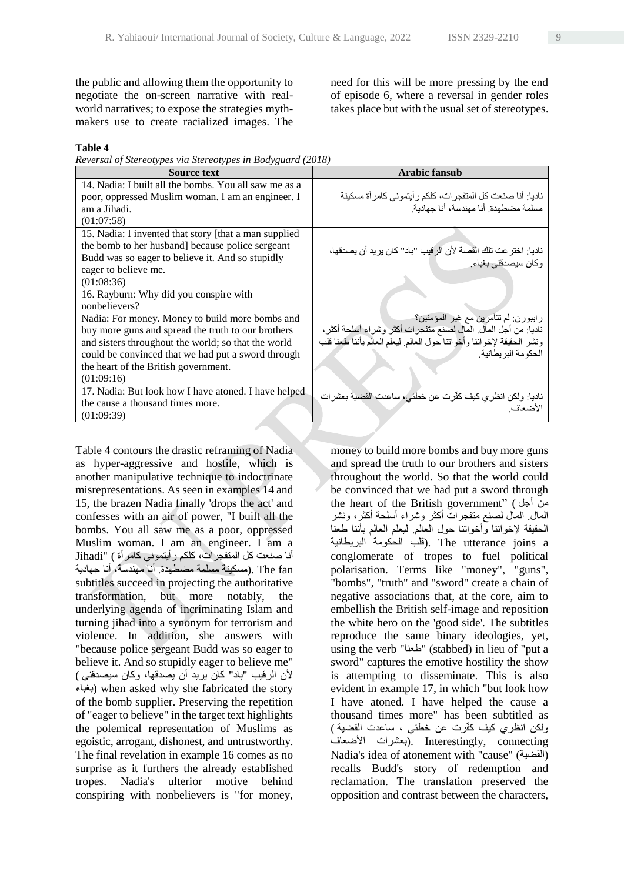the public and allowing them the opportunity to negotiate the on-screen narrative with realworld narratives; to expose the strategies mythmakers use to create racialized images. The need for this will be more pressing by the end of episode 6, where a reversal in gender roles takes place but with the usual set of stereotypes.

| abie |  |
|------|--|
|------|--|

*Reversal of Stereotypes via Stereotypes in Bodyguard (2018)*

| <b>Source text</b>                                     | Arabic fansub                                                         |
|--------------------------------------------------------|-----------------------------------------------------------------------|
| 14. Nadia: I built all the bombs. You all saw me as a  |                                                                       |
| poor, oppressed Muslim woman. I am an engineer. I      | ناديا: أنا صنعت كل المتفجر ات، كلكم ر أيتموني كامر أة مسكينة          |
| am a Jihadi.                                           | مسلمة مضطهدة أنا مهندسة، أنا جهادبة                                   |
| (01:07:58)                                             |                                                                       |
| 15. Nadia: I invented that story [that a man supplied] |                                                                       |
| the bomb to her husband because police sergeant        | ناديا: اختر عت تلك القصة لأن الرقيب "باد" كان يريد أن يصدقها،         |
| Budd was so eager to believe it. And so stupidly       | وكان سيصدقني بغباء                                                    |
| eager to believe me.                                   |                                                                       |
| (01:08:36)                                             |                                                                       |
| 16. Rayburn: Why did you conspire with                 |                                                                       |
| nonbelievers?                                          |                                                                       |
| Nadia: For money. Money to build more bombs and        | رايبورن: لم تتأمرين مع غير المؤمنين؟                                  |
| buy more guns and spread the truth to our brothers     | ناديا: من أجل المال ِ المال لصنع متفجرات أكثر وشراء أسلحة أكثر ،      |
| and sisters throughout the world; so that the world    | ونشر الحقيقة لإخواننا وأخواتنا حول العالم ليعلم العالم بأننا طعنا قلب |
| could be convinced that we had put a sword through     | الحكومة البر يطانية                                                   |
| the heart of the British government.                   |                                                                       |
| (01:09:16)                                             |                                                                       |
| 17. Nadia: But look how I have atoned. I have helped   | ناديا: ولكن انظري كيف كفَّرت عن خطئي، ساعدت القضية بعشرات             |
| the cause a thousand times more.                       | الأضعاف                                                               |
| (01:09:39)                                             |                                                                       |

Table 4 contours the drastic reframing of Nadia as hyper-aggressive and hostile, which is another manipulative technique to indoctrinate misrepresentations. As seen in examples 14 and 15, the brazen Nadia finally 'drops the act' and confesses with an air of power, "I built all the bombs. You all saw me as a poor, oppressed Muslim woman. I am an engineer. I am a أنا صنعت كل المتفجرات، كلكم رأيتموني كامرأة ) "Jihadi fan The .)مسكينة مسلمة مضطهدة. أنا مهندسة، أنا جهادية subtitles succeed in projecting the authoritative transformation, but more notably, the underlying agenda of incriminating Islam and turning jihad into a synonym for terrorism and violence. In addition, she answers with "because police sergeant Budd was so eager to believe it. And so stupidly eager to believe me" لأن الرقيب "باد" كان يريد أن يصدقها، وكان سيصدقني ) بغباء (when asked why she fabricated the story of the bomb supplier. Preserving the repetition of "eager to believe" in the target text highlights the polemical representation of Muslims as egoistic, arrogant, dishonest, and untrustworthy. The final revelation in example 16 comes as no surprise as it furthers the already established tropes. Nadia's ulterior motive behind conspiring with nonbelievers is "for money,

money to build more bombs and buy more guns and spread the truth to our brothers and sisters throughout the world. So that the world could be convinced that we had put a sword through the heart of the British government" ( أجل من المال. المال لصنع متفجرات أكثر وشراء أسلحة أكثر، ونشر الحقيقة إلخواننا وأخواتنا حول العالم. ليعلم العالم بأننا طعنا اللبريطانية). The utterance joins a conglomerate of tropes to fuel political polarisation. Terms like "money", "guns", "bombs", "truth" and "sword" create a chain of negative associations that, at the core, aim to embellish the British self-image and reposition the white hero on the 'good side'. The subtitles reproduce the same binary ideologies, yet, using the verb "طعنا" (stabbed) in lieu of "put a sword" captures the emotive hostility the show is attempting to disseminate. This is also evident in example 17, in which "but look how I have atoned. I have helped the cause a thousand times more" has been subtitled as ولكن انظري كيف كفّرت عن خطئي ، ساعدت القضية ) connecting ,Interestingly .)بعشرات األضعاف Nadia's idea of atonement with "cause" (القضية( recalls Budd's story of redemption and reclamation. The translation preserved the opposition and contrast between the characters,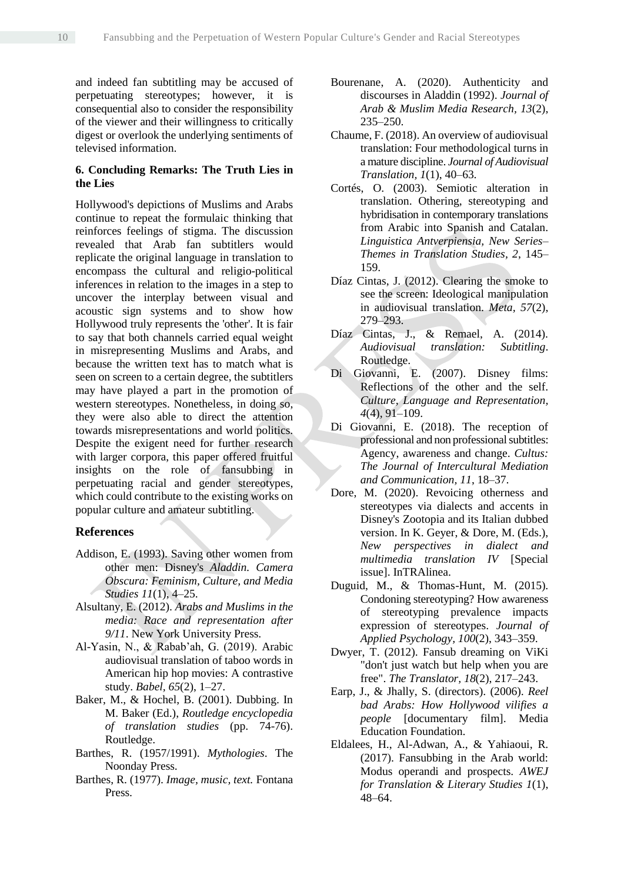and indeed fan subtitling may be accused of perpetuating stereotypes; however, it is consequential also to consider the responsibility of the viewer and their willingness to critically digest or overlook the underlying sentiments of televised information.

#### **6. Concluding Remarks: The Truth Lies in the Lies**

Hollywood's depictions of Muslims and Arabs continue to repeat the formulaic thinking that reinforces feelings of stigma. The discussion revealed that Arab fan subtitlers would replicate the original language in translation to encompass the cultural and religio-political inferences in relation to the images in a step to uncover the interplay between visual and acoustic sign systems and to show how Hollywood truly represents the 'other'. It is fair to say that both channels carried equal weight in misrepresenting Muslims and Arabs, and because the written text has to match what is seen on screen to a certain degree, the subtitlers may have played a part in the promotion of western stereotypes. Nonetheless, in doing so, they were also able to direct the attention towards misrepresentations and world politics. Despite the exigent need for further research with larger corpora, this paper offered fruitful insights on the role of fansubbing in perpetuating racial and gender stereotypes, which could contribute to the existing works on popular culture and amateur subtitling.

#### **References**

- Addison, E. (1993). Saving other women from other men: Disney's *Aladdin. Camera Obscura: Feminism, Culture, and Media Studies 11*(1), 4–25.
- Alsultany, E. (2012). *Arabs and Muslims in the media: Race and representation after 9/11*. New York University Press.
- Al-Yasin, N., & Rabab'ah, G. (2019). Arabic audiovisual translation of taboo words in American hip hop movies: A contrastive study. *Babel, 65*(2), 1–27.
- Baker, M., & Hochel, B. (2001). Dubbing. In M. Baker (Ed.), *Routledge encyclopedia of translation studies* (pp. 74-76). Routledge.
- Barthes, R. (1957/1991). *Mythologies*. The Noonday Press.
- Barthes, R. (1977). *Image, music, text.* Fontana Press.
- Bourenane, A. (2020). Authenticity and discourses in Aladdin (1992). *Journal of Arab & Muslim Media Research, 13*(2), 235–250.
- Chaume, F. (2018). An overview of audiovisual translation: Four methodological turns in a mature discipline. *Journal of Audiovisual Translation, 1*(1), 40–63.
- Cortés, O. (2003). Semiotic alteration in translation. Othering, stereotyping and hybridisation in contemporary translations from Arabic into Spanish and Catalan. *Linguistica Antverpiensia, New Series– Themes in Translation Studies, 2*, 145– 159.
- Díaz Cintas, J. (2012). Clearing the smoke to see the screen: Ideological manipulation in audiovisual translation. *Meta, 57*(2), 279–293.
- Díaz Cintas, J., & Remael, A. (2014). *Audiovisual translation: Subtitling*. Routledge.
- Di Giovanni, E. (2007). Disney films: Reflections of the other and the self. *Culture, Language and Representation, 4*(4), 91–109.
- Di Giovanni, E. (2018). The reception of professional and non professional subtitles: Agency, awareness and change. *Cultus: The Journal of Intercultural Mediation and Communication, 11*, 18–37.
- Dore, M. (2020). Revoicing otherness and stereotypes via dialects and accents in Disney's Zootopia and its Italian dubbed version. In K. Geyer, & Dore, M. (Eds.), *New perspectives in dialect and multimedia translation IV* [Special issue]. InTRAlinea.
- Duguid, M., & Thomas-Hunt, M. (2015). Condoning stereotyping? How awareness of stereotyping prevalence impacts expression of stereotypes. *Journal of Applied Psychology, 100*(2), 343–359.
- Dwyer, T. (2012). Fansub dreaming on ViKi "don't just watch but help when you are free". *The Translator, 18*(2), 217–243.
- Earp, J., & Jhally, S. (directors). (2006). *Reel bad Arabs: How Hollywood vilifies a people* [documentary film]. Media Education Foundation.
- Eldalees, H., Al-Adwan, A., & Yahiaoui, R. (2017). Fansubbing in the Arab world: Modus operandi and prospects. *AWEJ for Translation & Literary Studies 1*(1), 48–64.